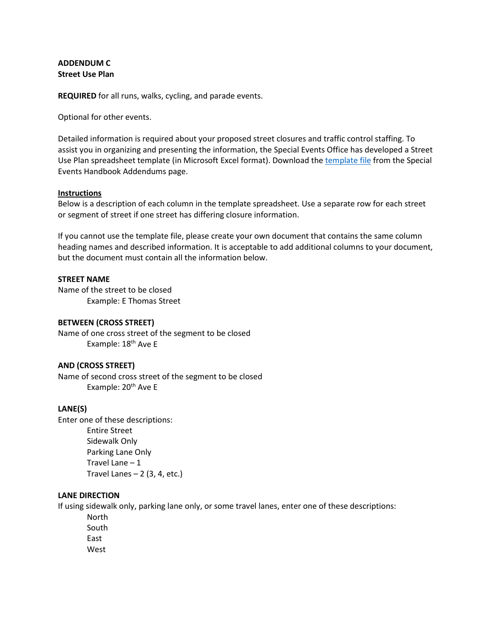# **ADDENDUM C Street Use Plan**

**REQUIRED** for all runs, walks, cycling, and parade events.

Optional for other events.

Detailed information is required about your proposed street closures and traffic control staffing. To assist you in organizing and presenting the information, the Special Events Office has developed a Street Use Plan spreadsheet template (in Microsoft Excel format). Download the [template file](http://wwwqa.seattle.gov/Documents/Departments/SpecialEvents/ADDENDUMS/ADD_D_StreetUsePlan.xlsx) from the Special Events Handbook Addendums page.

#### **Instructions**

Below is a description of each column in the template spreadsheet. Use a separate row for each street or segment of street if one street has differing closure information.

If you cannot use the template file, please create your own document that contains the same column heading names and described information. It is acceptable to add additional columns to your document, but the document must contain all the information below.

### **STREET NAME**

Name of the street to be closed Example: E Thomas Street

### **BETWEEN (CROSS STREET)**

Name of one cross street of the segment to be closed Example: 18<sup>th</sup> Ave E

### **AND (CROSS STREET)**

Name of second cross street of the segment to be closed Example: 20<sup>th</sup> Ave E

### **LANE(S)**

Enter one of these descriptions: Entire Street Sidewalk Only Parking Lane Only Travel Lane – 1 Travel Lanes  $-2$  (3, 4, etc.)

## **LANE DIRECTION**

If using sidewalk only, parking lane only, or some travel lanes, enter one of these descriptions:

North South East West